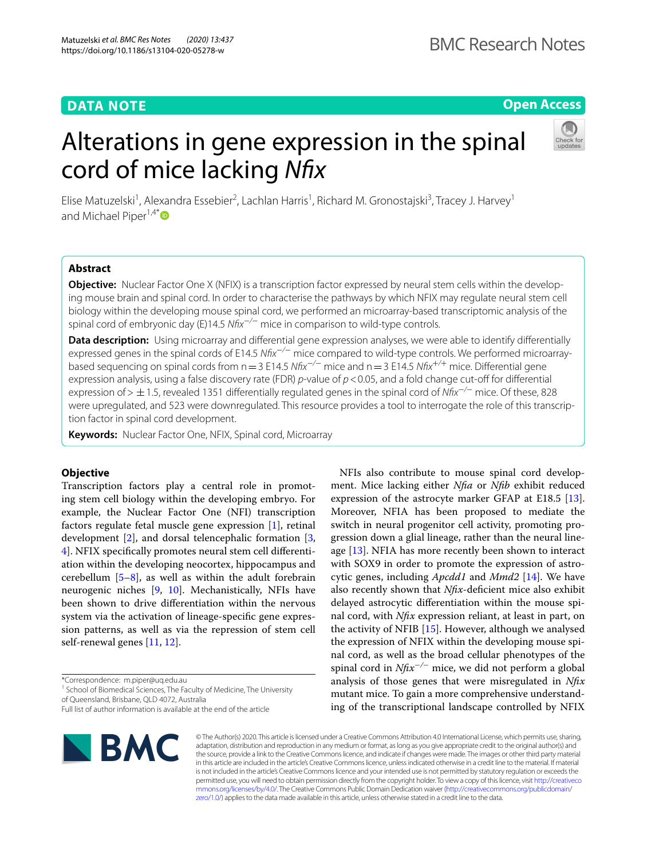## **DATA NOTE**

## **Open Access**

# Alterations in gene expression in the spinal cord of mice lacking *Nfx*



Elise Matuzelski<sup>1</sup>, Alexandra Essebier<sup>2</sup>, Lachlan Harris<sup>1</sup>, Richard M. Gronostajski<sup>3</sup>, Tracey J. Harvey<sup>1</sup> and Michael Piper<sup>1,4[\\*](http://orcid.org/0000-0002-6759-2560)</sup> $\bullet$ 

## **Abstract**

**Objective:** Nuclear Factor One X (NFIX) is a transcription factor expressed by neural stem cells within the developing mouse brain and spinal cord. In order to characterise the pathways by which NFIX may regulate neural stem cell biology within the developing mouse spinal cord, we performed an microarray-based transcriptomic analysis of the spinal cord of embryonic day (E)14.5 *Nfx*−*/*− mice in comparison to wild-type controls.

Data description: Using microarray and differential gene expression analyses, we were able to identify differentially expressed genes in the spinal cords of E14.5 *Nfx*−*/*− mice compared to wild-type controls. We performed microarraybased sequencing on spinal cords from n=3 E14.5 *Nfx*−*/*− mice and n=3 E14.5 *Nfx*+*/*+ mice. Diferential gene expression analysis, using a false discovery rate (FDR) *p*-value of *p*<0.05, and a fold change cut-of for diferential expression of> ±1.5, revealed 1351 diferentially regulated genes in the spinal cord of *Nfx*−*/*− mice. Of these, 828 were upregulated, and 523 were downregulated. This resource provides a tool to interrogate the role of this transcription factor in spinal cord development.

**Keywords:** Nuclear Factor One, NFIX, Spinal cord, Microarray

## **Objective**

Transcription factors play a central role in promoting stem cell biology within the developing embryo. For example, the Nuclear Factor One (NFI) transcription factors regulate fetal muscle gene expression [\[1](#page-2-0)], retinal development [[2\]](#page-2-1), and dorsal telencephalic formation [\[3](#page-2-2), [4\]](#page-2-3). NFIX specifcally promotes neural stem cell diferentiation within the developing neocortex, hippocampus and cerebellum  $[5-8]$  $[5-8]$ , as well as within the adult forebrain neurogenic niches [\[9](#page-2-6), [10\]](#page-2-7). Mechanistically, NFIs have been shown to drive diferentiation within the nervous system via the activation of lineage-specifc gene expression patterns, as well as via the repression of stem cell self-renewal genes [\[11,](#page-2-8) [12](#page-2-9)].

<sup>1</sup> School of Biomedical Sciences, The Faculty of Medicine, The University of Queensland, Brisbane, QLD 4072, Australia

Full list of author information is available at the end of the article



NFIs also contribute to mouse spinal cord development. Mice lacking either *Nfa* or *Nfb* exhibit reduced expression of the astrocyte marker GFAP at E18.5 [\[13](#page-2-10)]. Moreover, NFIA has been proposed to mediate the switch in neural progenitor cell activity, promoting progression down a glial lineage, rather than the neural lineage  $[13]$  $[13]$ . NFIA has more recently been shown to interact with SOX9 in order to promote the expression of astrocytic genes, including *Apcdd1* and *Mmd2* [\[14](#page-2-11)]. We have also recently shown that *Nfx*-defcient mice also exhibit delayed astrocytic diferentiation within the mouse spinal cord, with *Nfx* expression reliant, at least in part, on the activity of NFIB  $[15]$  $[15]$ . However, although we analysed the expression of NFIX within the developing mouse spinal cord, as well as the broad cellular phenotypes of the spinal cord in *Nfx*<sup>−</sup>*/*<sup>−</sup> mice, we did not perform a global analysis of those genes that were misregulated in *Nfx* mutant mice. To gain a more comprehensive understanding of the transcriptional landscape controlled by NFIX

© The Author(s) 2020. This article is licensed under a Creative Commons Attribution 4.0 International License, which permits use, sharing, adaptation, distribution and reproduction in any medium or format, as long as you give appropriate credit to the original author(s) and the source, provide a link to the Creative Commons licence, and indicate if changes were made. The images or other third party material in this article are included in the article's Creative Commons licence, unless indicated otherwise in a credit line to the material. If material is not included in the article's Creative Commons licence and your intended use is not permitted by statutory regulation or exceeds the permitted use, you will need to obtain permission directly from the copyright holder. To view a copy of this licence, visit [http://creativeco](http://creativecommons.org/licenses/by/4.0/) [mmons.org/licenses/by/4.0/.](http://creativecommons.org/licenses/by/4.0/) The Creative Commons Public Domain Dedication waiver ([http://creativecommons.org/publicdomain/](http://creativecommons.org/publicdomain/zero/1.0/) [zero/1.0/\)](http://creativecommons.org/publicdomain/zero/1.0/) applies to the data made available in this article, unless otherwise stated in a credit line to the data.

<sup>\*</sup>Correspondence: m.piper@uq.edu.au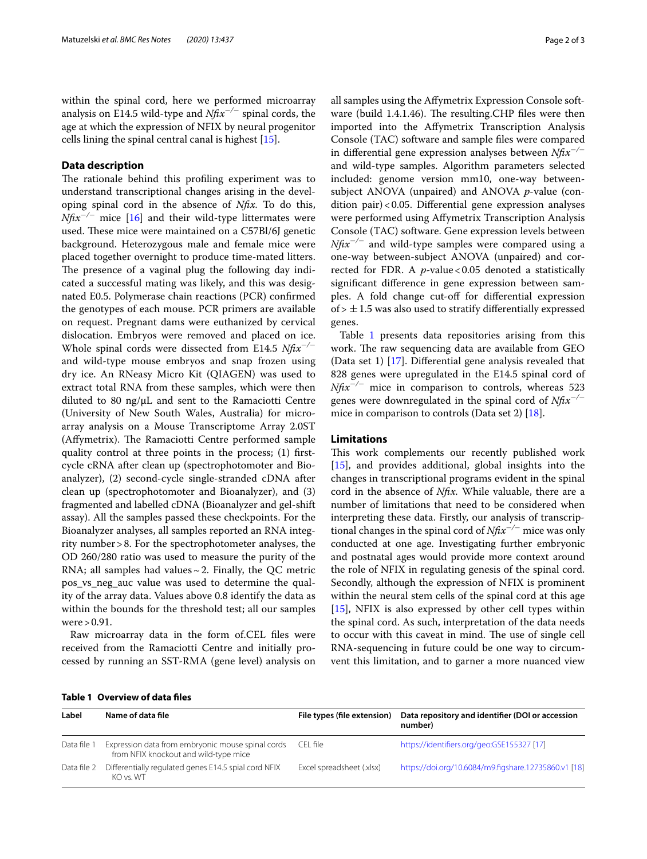within the spinal cord, here we performed microarray analysis on E14.5 wild-type and *Nfx*<sup>−</sup>*/*<sup>−</sup> spinal cords, the age at which the expression of NFIX by neural progenitor cells lining the spinal central canal is highest [[15](#page-2-12)].

## **Data description**

The rationale behind this profiling experiment was to understand transcriptional changes arising in the developing spinal cord in the absence of *Nfx.* To do this, *Nftx<sup>−/−</sup>* mice [[16\]](#page-2-13) and their wild-type littermates were used. These mice were maintained on a C57Bl/6J genetic background. Heterozygous male and female mice were placed together overnight to produce time-mated litters. The presence of a vaginal plug the following day indicated a successful mating was likely, and this was designated E0.5. Polymerase chain reactions (PCR) confrmed the genotypes of each mouse. PCR primers are available on request. Pregnant dams were euthanized by cervical dislocation. Embryos were removed and placed on ice. Whole spinal cords were dissected from E14.5 *Nfx*−*/*<sup>−</sup> and wild-type mouse embryos and snap frozen using dry ice. An RNeasy Micro Kit (QIAGEN) was used to extract total RNA from these samples, which were then diluted to 80 ng/μL and sent to the Ramaciotti Centre (University of New South Wales, Australia) for microarray analysis on a Mouse Transcriptome Array 2.0ST (Affymetrix). The Ramaciotti Centre performed sample quality control at three points in the process; (1) frstcycle cRNA after clean up (spectrophotomoter and Bioanalyzer), (2) second-cycle single-stranded cDNA after clean up (spectrophotomoter and Bioanalyzer), and (3) fragmented and labelled cDNA (Bioanalyzer and gel-shift assay). All the samples passed these checkpoints. For the Bioanalyzer analyses, all samples reported an RNA integrity number>8. For the spectrophotometer analyses, the OD 260/280 ratio was used to measure the purity of the RNA; all samples had values $\sim$  2. Finally, the QC metric pos\_vs\_neg\_auc value was used to determine the quality of the array data. Values above 0.8 identify the data as within the bounds for the threshold test; all our samples were>0.91.

Raw microarray data in the form of.CEL fles were received from the Ramaciotti Centre and initially processed by running an SST-RMA (gene level) analysis on all samples using the Afymetrix Expression Console software (build  $1.4.1.46$ ). The resulting CHP files were then imported into the Afymetrix Transcription Analysis Console (TAC) software and sample fles were compared in diferential gene expression analyses between *Nfx*<sup>−</sup>*/*<sup>−</sup> and wild-type samples. Algorithm parameters selected included: genome version mm10, one-way betweensubject ANOVA (unpaired) and ANOVA *p*-value (condition pair)<0.05. Differential gene expression analyses were performed using Afymetrix Transcription Analysis Console (TAC) software. Gene expression levels between *Nftx<sup>−/−</sup>* and wild-type samples were compared using a one-way between-subject ANOVA (unpaired) and corrected for FDR. A *p*-value < 0.05 denoted a statistically signifcant diference in gene expression between samples. A fold change cut-off for differential expression of  $> \pm 1.5$  was also used to stratify differentially expressed genes.

Table [1](#page-1-0) presents data repositories arising from this work. The raw sequencing data are available from GEO (Data set 1) [[17\]](#page-2-14). Diferential gene analysis revealed that 828 genes were upregulated in the E14.5 spinal cord of *Nftx<sup>−/−</sup>* mice in comparison to controls, whereas 523 genes were downregulated in the spinal cord of *Nfx*−*/*<sup>−</sup> mice in comparison to controls (Data set 2) [[18](#page-2-15)].

#### **Limitations**

This work complements our recently published work [[15\]](#page-2-12), and provides additional, global insights into the changes in transcriptional programs evident in the spinal cord in the absence of *Nfx.* While valuable, there are a number of limitations that need to be considered when interpreting these data. Firstly, our analysis of transcriptional changes in the spinal cord of *Nfx*−*/*− mice was only conducted at one age. Investigating further embryonic and postnatal ages would provide more context around the role of NFIX in regulating genesis of the spinal cord. Secondly, although the expression of NFIX is prominent within the neural stem cells of the spinal cord at this age [[15\]](#page-2-12), NFIX is also expressed by other cell types within the spinal cord. As such, interpretation of the data needs to occur with this caveat in mind. The use of single cell RNA-sequencing in future could be one way to circumvent this limitation, and to garner a more nuanced view

<span id="page-1-0"></span>

| Table 1 Overview of data files |  |
|--------------------------------|--|
|--------------------------------|--|

| Label       | Name of data file                                                                          | File types (file extension) | Data repository and identifier (DOI or accession<br>number) |
|-------------|--------------------------------------------------------------------------------------------|-----------------------------|-------------------------------------------------------------|
| Data file 1 | Expression data from embryonic mouse spinal cords<br>from NFIX knockout and wild-type mice | CFI file                    | https://identifiers.org/geo:GSE155327 [17]                  |
| Data file 2 | Differentially regulated genes E14.5 spial cord NFIX<br>KO vs WT                           | Excel spreadsheet (.xlsx)   | https://doi.org/10.6084/m9.figshare.12735860.v1 [18]        |